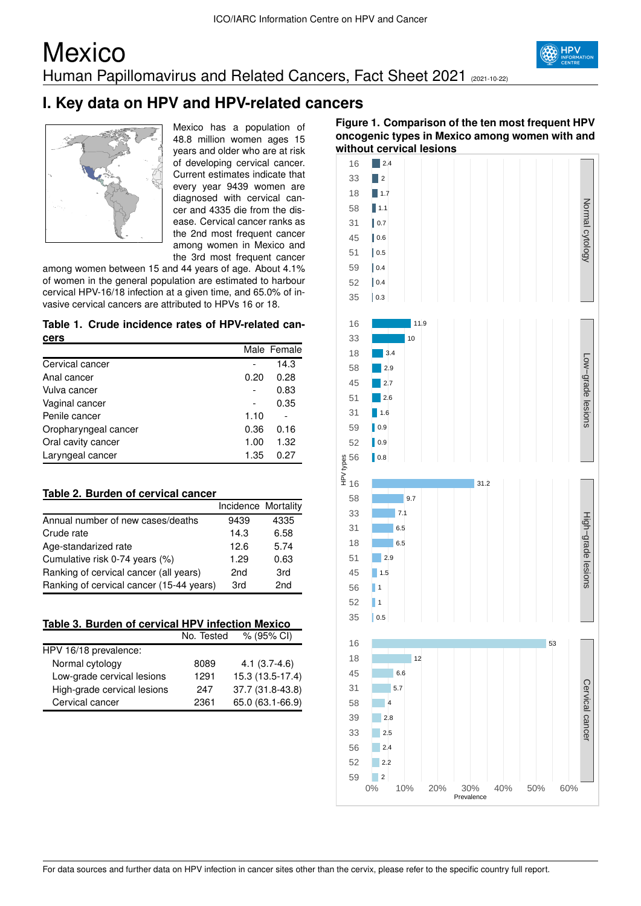## **Mexico** Human Papillomavirus and Related Cancers, Fact Sheet 2021 (2021-10-22)



## **I. Key data on HPV and HPV-related cancers**



Mexico has a population of 48.8 million women ages 15 years and older who are at risk of developing cervical cancer. Current estimates indicate that every year 9439 women are diagnosed with cervical cancer and 4335 die from the disease. Cervical cancer ranks as the 2nd most frequent cancer among women in Mexico and the 3rd most frequent cancer

among women between 15 and 44 years of age. About 4.1% of women in the general population are estimated to harbour cervical HPV-16/18 infection at a given time, and 65.0% of invasive cervical cancers are attributed to HPVs 16 or 18.

#### **Table 1. Crude incidence rates of HPV-related cancers**

|                      |      | Male Female |
|----------------------|------|-------------|
| Cervical cancer      |      | 14.3        |
| Anal cancer          | 0.20 | 0.28        |
| Vulva cancer         |      | 0.83        |
| Vaginal cancer       |      | 0.35        |
| Penile cancer        | 1.10 |             |
| Oropharyngeal cancer | 0.36 | 0.16        |
| Oral cavity cancer   | 1.00 | 1.32        |
| Laryngeal cancer     | 1.35 | 0.27        |

### **Table 2. Burden of cervical cancer**

|                                          | Incidence Mortality |      |
|------------------------------------------|---------------------|------|
| Annual number of new cases/deaths        | 9439                | 4335 |
| Crude rate                               | 14.3                | 6.58 |
| Age-standarized rate                     | 12.6                | 5.74 |
| Cumulative risk 0-74 years (%)           | 1.29                | 0.63 |
| Ranking of cervical cancer (all years)   | 2 <sub>nd</sub>     | 3rd  |
| Ranking of cervical cancer (15-44 years) | 3rd                 | 2nd  |

|  | Table 3. Burden of cervical HPV infection Mexico |
|--|--------------------------------------------------|
|  |                                                  |

|                             | No. Tested | $% (95\% \text{ Cl})$ |
|-----------------------------|------------|-----------------------|
| HPV 16/18 prevalence:       |            |                       |
| Normal cytology             | 8089       | $4.1(3.7-4.6)$        |
| Low-grade cervical lesions  | 1291       | 15.3 (13.5-17.4)      |
| High-grade cervical lesions | 247        | 37.7 (31.8-43.8)      |
| Cervical cancer             | 2361       | 65.0 (63.1-66.9)      |

### **Figure 1. Comparison of the ten most frequent HPV oncogenic types in Mexico among women with and without cervical lesions**